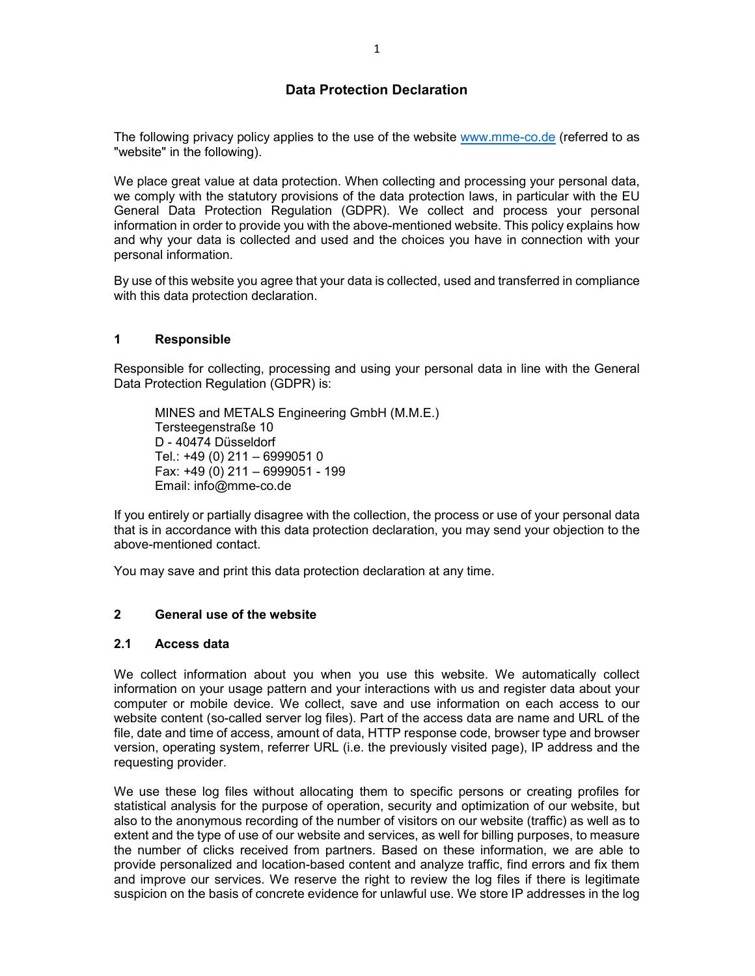# **Data Protection Declaration**

The following privacy policy applies to the use of the website www.mme-co.de (referred to as "website" in the following).

We place great value at data protection. When collecting and processing your personal data, we comply with the statutory provisions of the data protection laws, in particular with the EU General Data Protection Regulation (GDPR). We collect and process your personal information in order to provide you with the above-mentioned website. This policy explains how and why your data is collected and used and the choices you have in connection with your personal information.

By use of this website you agree that your data is collected, used and transferred in compliance with this data protection declaration.

#### **1 Responsible**

Responsible for collecting, processing and using your personal data in line with the General Data Protection Regulation (GDPR) is:

MINES and METALS Engineering GmbH (M.M.E.) Tersteegenstraße 10 D - 40474 Düsseldorf Tel.: +49 (0) 211 – 6999051 0 Fax: +49 (0) 211 – 6999051 - 199 Email: info@mme-co.de

If you entirely or partially disagree with the collection, the process or use of your personal data that is in accordance with this data protection declaration, you may send your objection to the above-mentioned contact.

You may save and print this data protection declaration at any time.

#### **2 General use of the website**

#### **2.1 Access data**

We collect information about you when you use this website. We automatically collect information on your usage pattern and your interactions with us and register data about your computer or mobile device. We collect, save and use information on each access to our website content (so-called server log files). Part of the access data are name and URL of the file, date and time of access, amount of data, HTTP response code, browser type and browser version, operating system, referrer URL (i.e. the previously visited page), IP address and the requesting provider.

We use these log files without allocating them to specific persons or creating profiles for statistical analysis for the purpose of operation, security and optimization of our website, but also to the anonymous recording of the number of visitors on our website (traffic) as well as to extent and the type of use of our website and services, as well for billing purposes, to measure the number of clicks received from partners. Based on these information, we are able to provide personalized and location-based content and analyze traffic, find errors and fix them and improve our services. We reserve the right to review the log files if there is legitimate suspicion on the basis of concrete evidence for unlawful use. We store IP addresses in the log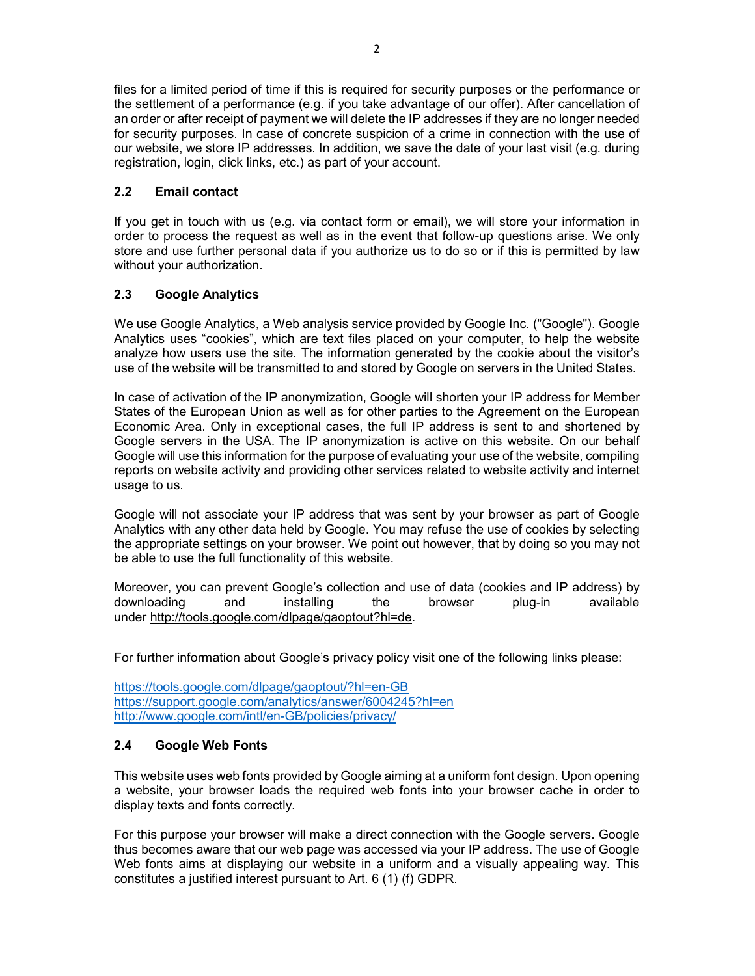files for a limited period of time if this is required for security purposes or the performance or the settlement of a performance (e.g. if you take advantage of our offer). After cancellation of an order or after receipt of payment we will delete the IP addresses if they are no longer needed for security purposes. In case of concrete suspicion of a crime in connection with the use of our website, we store IP addresses. In addition, we save the date of your last visit (e.g. during registration, login, click links, etc.) as part of your account.

# **2.2 Email contact**

If you get in touch with us (e.g. via contact form or email), we will store your information in order to process the request as well as in the event that follow-up questions arise. We only store and use further personal data if you authorize us to do so or if this is permitted by law without your authorization.

# **2.3 Google Analytics**

We use Google Analytics, a Web analysis service provided by Google Inc. ("Google"). Google Analytics uses "cookies", which are text files placed on your computer, to help the website analyze how users use the site. The information generated by the cookie about the visitor's use of the website will be transmitted to and stored by Google on servers in the United States.

In case of activation of the IP anonymization, Google will shorten your IP address for Member States of the European Union as well as for other parties to the Agreement on the European Economic Area. Only in exceptional cases, the full IP address is sent to and shortened by Google servers in the USA. The IP anonymization is active on this website. On our behalf Google will use this information for the purpose of evaluating your use of the website, compiling reports on website activity and providing other services related to website activity and internet usage to us.

Google will not associate your IP address that was sent by your browser as part of Google Analytics with any other data held by Google. You may refuse the use of cookies by selecting the appropriate settings on your browser. We point out however, that by doing so you may not be able to use the full functionality of this website.

Moreover, you can prevent Google's collection and use of data (cookies and IP address) by downloading and installing the browser plug-in available under http://tools.google.com/dlpage/gaoptout?hl=de.

For further information about Google's privacy policy visit one of the following links please:

https://tools.google.com/dlpage/gaoptout/?hl=en-GB https://support.google.com/analytics/answer/6004245?hl=en http://www.google.com/intl/en-GB/policies/privacy/

### **2.4 Google Web Fonts**

This website uses web fonts provided by Google aiming at a uniform font design. Upon opening a website, your browser loads the required web fonts into your browser cache in order to display texts and fonts correctly.

For this purpose your browser will make a direct connection with the Google servers. Google thus becomes aware that our web page was accessed via your IP address. The use of Google Web fonts aims at displaying our website in a uniform and a visually appealing way. This constitutes a justified interest pursuant to Art. 6 (1) (f) GDPR.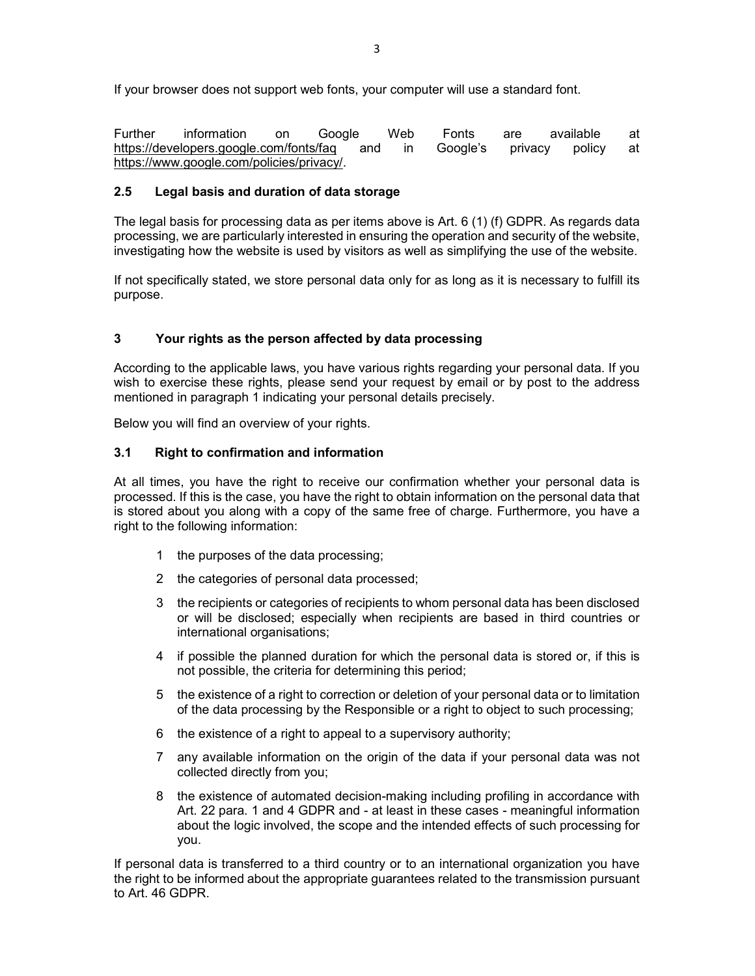If your browser does not support web fonts, your computer will use a standard font.

Further information on Google Web Fonts are available at https://developers.google.com/fonts/faq and in Google's privacy policy at https://www.google.com/policies/privacy/.

# **2.5 Legal basis and duration of data storage**

The legal basis for processing data as per items above is Art. 6 (1) (f) GDPR. As regards data processing, we are particularly interested in ensuring the operation and security of the website, investigating how the website is used by visitors as well as simplifying the use of the website.

If not specifically stated, we store personal data only for as long as it is necessary to fulfill its purpose.

## **3 Your rights as the person affected by data processing**

According to the applicable laws, you have various rights regarding your personal data. If you wish to exercise these rights, please send your request by email or by post to the address mentioned in paragraph 1 indicating your personal details precisely.

Below you will find an overview of your rights.

### **3.1 Right to confirmation and information**

At all times, you have the right to receive our confirmation whether your personal data is processed. If this is the case, you have the right to obtain information on the personal data that is stored about you along with a copy of the same free of charge. Furthermore, you have a right to the following information:

- 1 the purposes of the data processing;
- 2 the categories of personal data processed;
- 3 the recipients or categories of recipients to whom personal data has been disclosed or will be disclosed; especially when recipients are based in third countries or international organisations;
- 4 if possible the planned duration for which the personal data is stored or, if this is not possible, the criteria for determining this period;
- 5 the existence of a right to correction or deletion of your personal data or to limitation of the data processing by the Responsible or a right to object to such processing;
- 6 the existence of a right to appeal to a supervisory authority;
- 7 any available information on the origin of the data if your personal data was not collected directly from you;
- 8 the existence of automated decision-making including profiling in accordance with Art. 22 para. 1 and 4 GDPR and - at least in these cases - meaningful information about the logic involved, the scope and the intended effects of such processing for you.

If personal data is transferred to a third country or to an international organization you have the right to be informed about the appropriate guarantees related to the transmission pursuant to Art. 46 GDPR.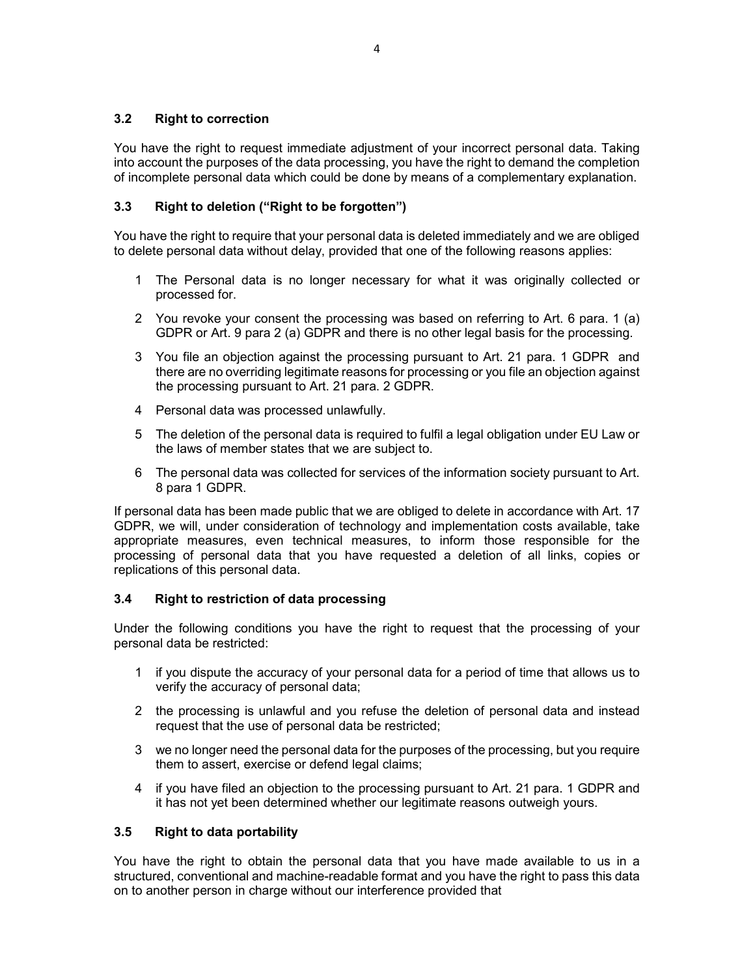## **3.2 Right to correction**

You have the right to request immediate adjustment of your incorrect personal data. Taking into account the purposes of the data processing, you have the right to demand the completion of incomplete personal data which could be done by means of a complementary explanation.

## **3.3 Right to deletion ("Right to be forgotten")**

You have the right to require that your personal data is deleted immediately and we are obliged to delete personal data without delay, provided that one of the following reasons applies:

- 1 The Personal data is no longer necessary for what it was originally collected or processed for.
- 2 You revoke your consent the processing was based on referring to Art. 6 para. 1 (a) GDPR or Art. 9 para 2 (a) GDPR and there is no other legal basis for the processing.
- 3 You file an objection against the processing pursuant to Art. 21 para. 1 GDPR and there are no overriding legitimate reasons for processing or you file an objection against the processing pursuant to Art. 21 para. 2 GDPR.
- 4 Personal data was processed unlawfully.
- 5 The deletion of the personal data is required to fulfil a legal obligation under EU Law or the laws of member states that we are subject to.
- 6 The personal data was collected for services of the information society pursuant to Art. 8 para 1 GDPR.

If personal data has been made public that we are obliged to delete in accordance with Art. 17 GDPR, we will, under consideration of technology and implementation costs available, take appropriate measures, even technical measures, to inform those responsible for the processing of personal data that you have requested a deletion of all links, copies or replications of this personal data.

### **3.4 Right to restriction of data processing**

Under the following conditions you have the right to request that the processing of your personal data be restricted:

- 1 if you dispute the accuracy of your personal data for a period of time that allows us to verify the accuracy of personal data;
- 2 the processing is unlawful and you refuse the deletion of personal data and instead request that the use of personal data be restricted;
- 3 we no longer need the personal data for the purposes of the processing, but you require them to assert, exercise or defend legal claims;
- 4 if you have filed an objection to the processing pursuant to Art. 21 para. 1 GDPR and it has not yet been determined whether our legitimate reasons outweigh yours.

### **3.5 Right to data portability**

You have the right to obtain the personal data that you have made available to us in a structured, conventional and machine-readable format and you have the right to pass this data on to another person in charge without our interference provided that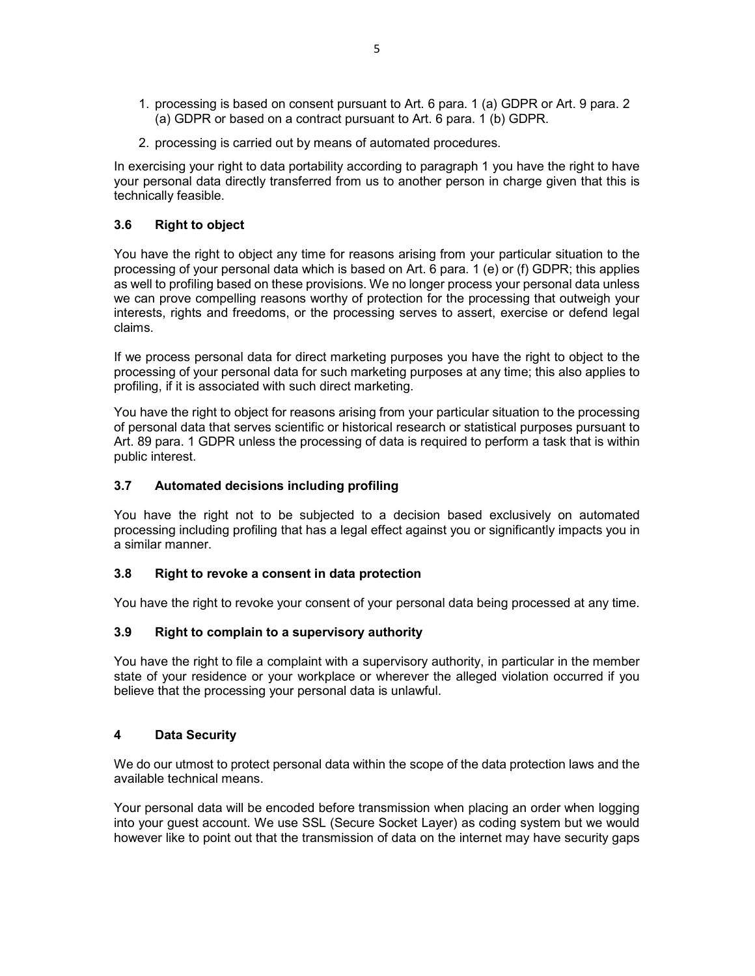- 1. processing is based on consent pursuant to Art. 6 para. 1 (a) GDPR or Art. 9 para. 2 (a) GDPR or based on a contract pursuant to Art. 6 para. 1 (b) GDPR.
- 2. processing is carried out by means of automated procedures.

In exercising your right to data portability according to paragraph 1 you have the right to have your personal data directly transferred from us to another person in charge given that this is technically feasible.

### **3.6 Right to object**

You have the right to object any time for reasons arising from your particular situation to the processing of your personal data which is based on Art. 6 para. 1 (e) or (f) GDPR; this applies as well to profiling based on these provisions. We no longer process your personal data unless we can prove compelling reasons worthy of protection for the processing that outweigh your interests, rights and freedoms, or the processing serves to assert, exercise or defend legal claims.

If we process personal data for direct marketing purposes you have the right to object to the processing of your personal data for such marketing purposes at any time; this also applies to profiling, if it is associated with such direct marketing.

You have the right to object for reasons arising from your particular situation to the processing of personal data that serves scientific or historical research or statistical purposes pursuant to Art. 89 para. 1 GDPR unless the processing of data is required to perform a task that is within public interest.

### **3.7 Automated decisions including profiling**

You have the right not to be subjected to a decision based exclusively on automated processing including profiling that has a legal effect against you or significantly impacts you in a similar manner.

### **3.8 Right to revoke a consent in data protection**

You have the right to revoke your consent of your personal data being processed at any time.

### **3.9 Right to complain to a supervisory authority**

You have the right to file a complaint with a supervisory authority, in particular in the member state of your residence or your workplace or wherever the alleged violation occurred if you believe that the processing your personal data is unlawful.

### **4 Data Security**

We do our utmost to protect personal data within the scope of the data protection laws and the available technical means.

Your personal data will be encoded before transmission when placing an order when logging into your guest account. We use SSL (Secure Socket Layer) as coding system but we would however like to point out that the transmission of data on the internet may have security gaps